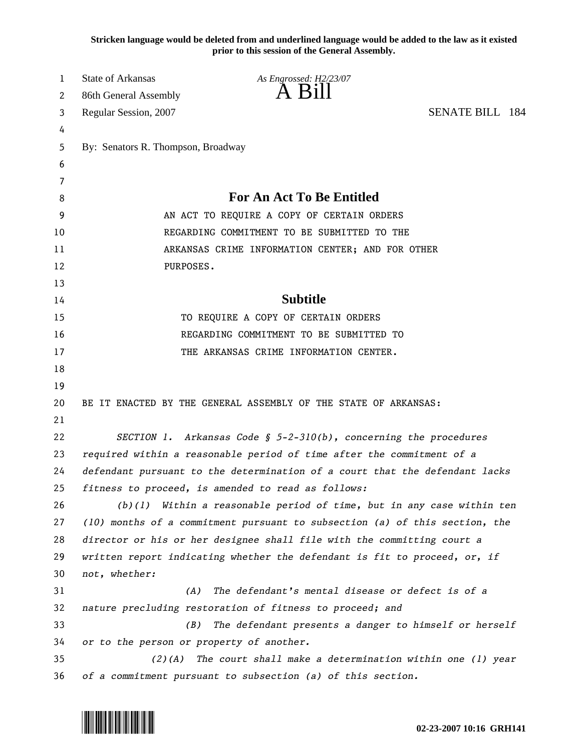**Stricken language would be deleted from and underlined language would be added to the law as it existed prior to this session of the General Assembly.**

| 1  | <b>State of Arkansas</b>                                              | As Engrossed: H2/23/07                                                      |  |
|----|-----------------------------------------------------------------------|-----------------------------------------------------------------------------|--|
| 2  | 86th General Assembly                                                 | A B1                                                                        |  |
| 3  | Regular Session, 2007                                                 | <b>SENATE BILL 184</b>                                                      |  |
| 4  |                                                                       |                                                                             |  |
| 5  | By: Senators R. Thompson, Broadway                                    |                                                                             |  |
| 6  |                                                                       |                                                                             |  |
| 7  |                                                                       |                                                                             |  |
| 8  |                                                                       | <b>For An Act To Be Entitled</b>                                            |  |
| 9  | AN ACT TO REQUIRE A COPY OF CERTAIN ORDERS                            |                                                                             |  |
| 10 |                                                                       | REGARDING COMMITMENT TO BE SUBMITTED TO THE                                 |  |
| 11 | ARKANSAS CRIME INFORMATION CENTER; AND FOR OTHER                      |                                                                             |  |
| 12 | PURPOSES.                                                             |                                                                             |  |
| 13 |                                                                       |                                                                             |  |
| 14 |                                                                       | <b>Subtitle</b>                                                             |  |
| 15 |                                                                       | TO REQUIRE A COPY OF CERTAIN ORDERS                                         |  |
| 16 |                                                                       | REGARDING COMMITMENT TO BE SUBMITTED TO                                     |  |
| 17 |                                                                       | THE ARKANSAS CRIME INFORMATION CENTER.                                      |  |
| 18 |                                                                       |                                                                             |  |
| 19 |                                                                       |                                                                             |  |
| 20 |                                                                       | BE IT ENACTED BY THE GENERAL ASSEMBLY OF THE STATE OF ARKANSAS:             |  |
| 21 |                                                                       |                                                                             |  |
| 22 |                                                                       | SECTION 1. Arkansas Code § $5-2-310(b)$ , concerning the procedures         |  |
| 23 | required within a reasonable period of time after the commitment of a |                                                                             |  |
| 24 |                                                                       | defendant pursuant to the determination of a court that the defendant lacks |  |
| 25 |                                                                       | fitness to proceed, is amended to read as follows:                          |  |
| 26 |                                                                       | $(b)(1)$ Within a reasonable period of time, but in any case within ten     |  |
| 27 |                                                                       | (10) months of a commitment pursuant to subsection (a) of this section, the |  |
| 28 |                                                                       | director or his or her designee shall file with the committing court a      |  |
| 29 |                                                                       | written report indicating whether the defendant is fit to proceed, or, if   |  |
| 30 | not, whether:                                                         |                                                                             |  |
| 31 | (A)                                                                   | The defendant's mental disease or defect is of a                            |  |
| 32 |                                                                       | nature precluding restoration of fitness to proceed; and                    |  |
| 33 | (B)                                                                   | The defendant presents a danger to himself or herself                       |  |
| 34 | or to the person or property of another.                              |                                                                             |  |
| 35 | $(2)$ (A)                                                             | The court shall make a determination within one (1) year                    |  |
| 36 |                                                                       | of a commitment pursuant to subsection (a) of this section.                 |  |

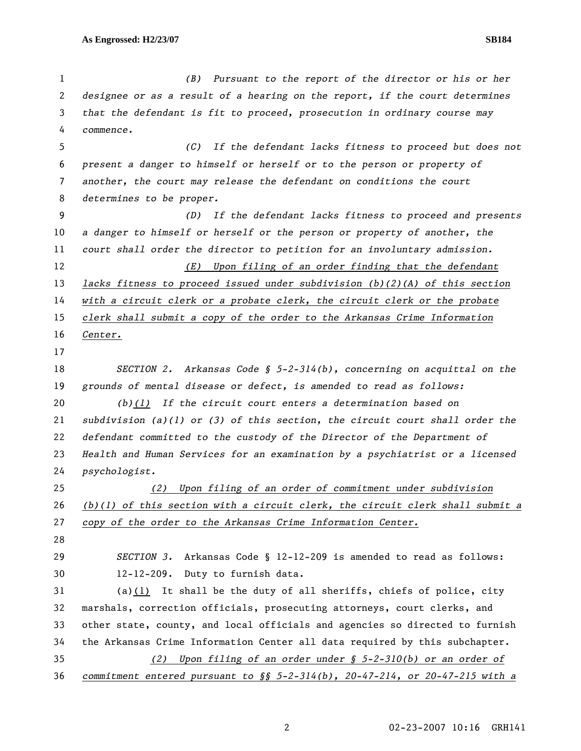*(B) Pursuant to the report of the director or his or her designee or as a result of a hearing on the report, if the court determines that the defendant is fit to proceed, prosecution in ordinary course may commence. (C) If the defendant lacks fitness to proceed but does not present a danger to himself or herself or to the person or property of another, the court may release the defendant on conditions the court determines to be proper. (D) If the defendant lacks fitness to proceed and presents a danger to himself or herself or the person or property of another, the court shall order the director to petition for an involuntary admission. (E) Upon filing of an order finding that the defendant lacks fitness to proceed issued under subdivision (b)(2)(A) of this section with a circuit clerk or a probate clerk, the circuit clerk or the probate clerk shall submit a copy of the order to the Arkansas Crime Information Center. SECTION 2. Arkansas Code § 5-2-314(b), concerning on acquittal on the grounds of mental disease or defect, is amended to read as follows: (b)(1) If the circuit court enters a determination based on subdivision (a)(1) or (3) of this section, the circuit court shall order the defendant committed to the custody of the Director of the Department of Health and Human Services for an examination by a psychiatrist or a licensed psychologist. (2) Upon filing of an order of commitment under subdivision (b)(1) of this section with a circuit clerk, the circuit clerk shall submit a copy of the order to the Arkansas Crime Information Center. SECTION 3.* Arkansas Code § 12-12-209 is amended to read as follows: 30 12-12-209. Duty to furnish data. 31 (a)(1) It shall be the duty of all sheriffs, chiefs of police, city 32 marshals, correction officials, prosecuting attorneys, court clerks, and 33 other state, county, and local officials and agencies so directed to furnish 34 the Arkansas Crime Information Center all data required by this subchapter. *(2) Upon filing of an order under § 5-2-310(b) or an order of commitment entered pursuant to §§ 5-2-314(b), 20-47-214, or 20-47-215 with a*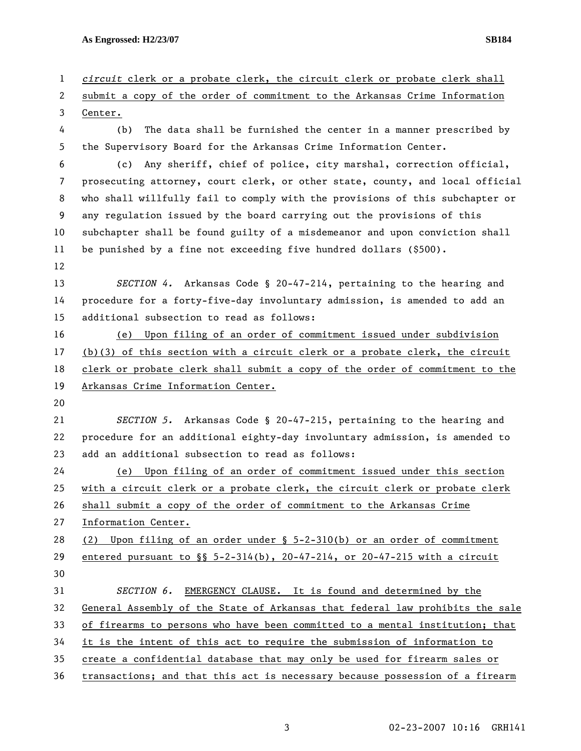**As Engrossed: H2/23/07 SB184** 

2 submit a copy of the order of commitment to the Arkansas Crime Information 3 Center. 4 (b) The data shall be furnished the center in a manner prescribed by 5 the Supervisory Board for the Arkansas Crime Information Center. 6 (c) Any sheriff, chief of police, city marshal, correction official, 7 prosecuting attorney, court clerk, or other state, county, and local official 8 who shall willfully fail to comply with the provisions of this subchapter or 9 any regulation issued by the board carrying out the provisions of this 10 subchapter shall be found guilty of a misdemeanor and upon conviction shall 11 be punished by a fine not exceeding five hundred dollars (\$500). 12 13 *SECTION 4.* Arkansas Code § 20-47-214, pertaining to the hearing and 14 procedure for a forty-five-day involuntary admission, is amended to add an 15 additional subsection to read as follows: 16 (e) Upon filing of an order of commitment issued under subdivision 17 (b)(3) of this section with a circuit clerk or a probate clerk, the circuit 18 clerk or probate clerk shall submit a copy of the order of commitment to the 19 Arkansas Crime Information Center. 20 21 *SECTION 5.* Arkansas Code § 20-47-215, pertaining to the hearing and 22 procedure for an additional eighty-day involuntary admission, is amended to 23 add an additional subsection to read as follows: 24 (e) Upon filing of an order of commitment issued under this section 25 with a circuit clerk or a probate clerk, the circuit clerk or probate clerk 26 shall submit a copy of the order of commitment to the Arkansas Crime 27 Information Center. 28 (2) Upon filing of an order under § 5-2-310(b) or an order of commitment 29 entered pursuant to §§ 5-2-314(b), 20-47-214, or 20-47-215 with a circuit 30 31 *SECTION 6.* EMERGENCY CLAUSE. It is found and determined by the 32 General Assembly of the State of Arkansas that federal law prohibits the sale 33 of firearms to persons who have been committed to a mental institution; that 34 it is the intent of this act to require the submission of information to 35 create a confidential database that may only be used for firearm sales or 36 transactions; and that this act is necessary because possession of a firearm

1 *circuit* clerk or a probate clerk, the circuit clerk or probate clerk shall